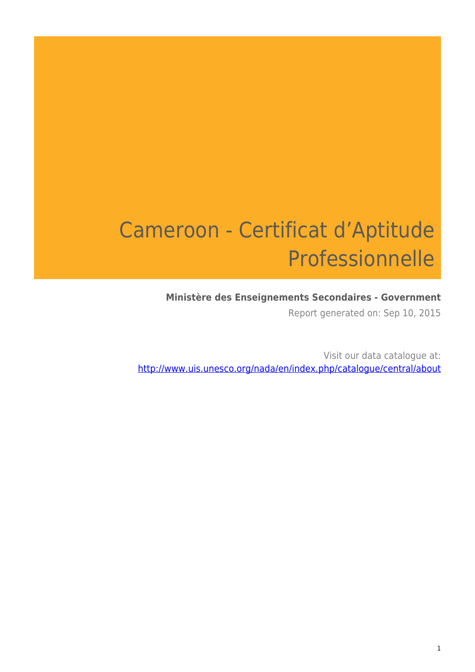# Cameroon - Certificat d'Aptitude Professionnelle

#### **Ministère des Enseignements Secondaires - Government**

Report generated on: Sep 10, 2015

Visit our data catalogue at: http://www.uis.unesco.org/nada/en/index.php/catalogue/central/about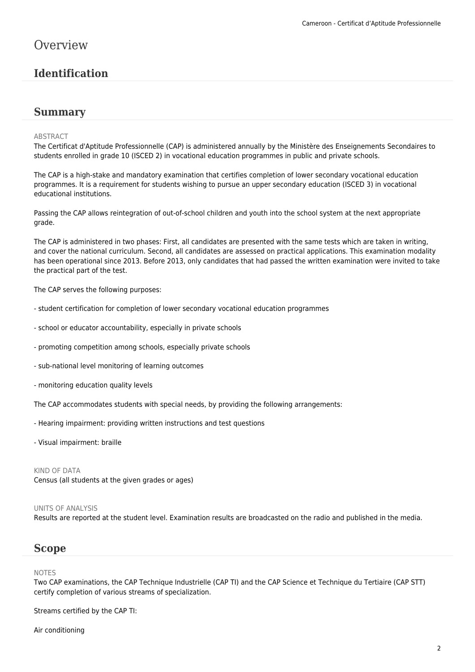## **Overview**

#### **Identification**

#### **Summary**

#### ABSTRACT

The Certificat d'Aptitude Professionnelle (CAP) is administered annually by the Ministère des Enseignements Secondaires to students enrolled in grade 10 (ISCED 2) in vocational education programmes in public and private schools.

The CAP is a high-stake and mandatory examination that certifies completion of lower secondary vocational education programmes. It is a requirement for students wishing to pursue an upper secondary education (ISCED 3) in vocational educational institutions.

Passing the CAP allows reintegration of out-of-school children and youth into the school system at the next appropriate grade.

The CAP is administered in two phases: First, all candidates are presented with the same tests which are taken in writing, and cover the national curriculum. Second, all candidates are assessed on practical applications. This examination modality has been operational since 2013. Before 2013, only candidates that had passed the written examination were invited to take the practical part of the test.

The CAP serves the following purposes:

- student certification for completion of lower secondary vocational education programmes
- school or educator accountability, especially in private schools
- promoting competition among schools, especially private schools
- sub-national level monitoring of learning outcomes
- monitoring education quality levels

The CAP accommodates students with special needs, by providing the following arrangements:

- Hearing impairment: providing written instructions and test questions

- Visual impairment: braille

KIND OF DATA Census (all students at the given grades or ages)

#### UNITS OF ANALYSIS

Results are reported at the student level. Examination results are broadcasted on the radio and published in the media.

#### **Scope**

#### NOTES

Two CAP examinations, the CAP Technique Industrielle (CAP TI) and the CAP Science et Technique du Tertiaire (CAP STT) certify completion of various streams of specialization.

Streams certified by the CAP TI:

Air conditioning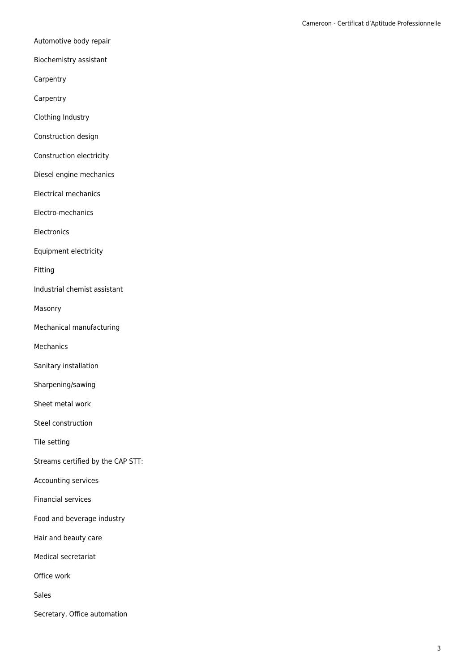Automotive body repair

Biochemistry assistant

Carpentry

**Carpentry** 

Clothing Industry

Construction design

Construction electricity

Diesel engine mechanics

Electrical mechanics

Electro-mechanics

Electronics

Equipment electricity

Fitting

Industrial chemist assistant

Masonry

Mechanical manufacturing

Mechanics

Sanitary installation

Sharpening/sawing

Sheet metal work

Steel construction

Tile setting

Streams certified by the CAP STT:

Accounting services

Financial services

Food and beverage industry

Hair and beauty care

Medical secretariat

Office work

Sales

Secretary, Office automation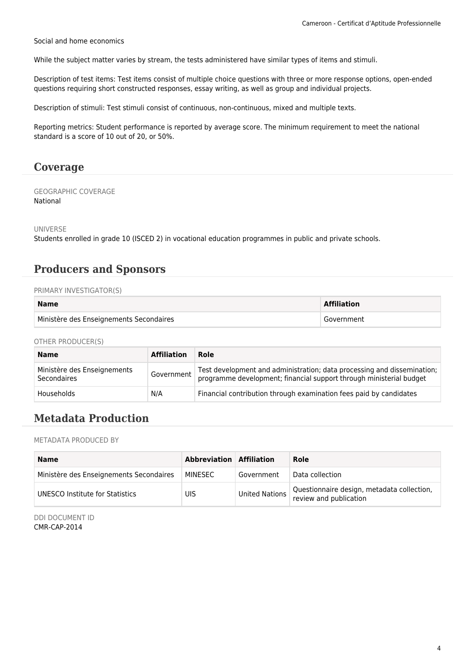Social and home economics

While the subject matter varies by stream, the tests administered have similar types of items and stimuli.

Description of test items: Test items consist of multiple choice questions with three or more response options, open-ended questions requiring short constructed responses, essay writing, as well as group and individual projects.

Description of stimuli: Test stimuli consist of continuous, non-continuous, mixed and multiple texts.

Reporting metrics: Student performance is reported by average score. The minimum requirement to meet the national standard is a score of 10 out of 20, or 50%.

#### **Coverage**

GEOGRAPHIC COVERAGE National

UNIVERSE

Students enrolled in grade 10 (ISCED 2) in vocational education programmes in public and private schools.

#### **Producers and Sponsors**

#### PRIMARY INVESTIGATOR(S)

| <b>Name</b>                             | <b>Affiliation</b> |
|-----------------------------------------|--------------------|
| Ministère des Enseignements Secondaires | Government         |

OTHER PRODUCER(S)

| <b>Name</b>                                | <b>Affiliation</b> | Role                                                                                                                                           |
|--------------------------------------------|--------------------|------------------------------------------------------------------------------------------------------------------------------------------------|
| Ministère des Enseignements<br>Secondaires | Government         | Test development and administration; data processing and dissemination;<br>programme development; financial support through ministerial budget |
| Households                                 | N/A                | Financial contribution through examination fees paid by candidates                                                                             |

#### **Metadata Production**

METADATA PRODUCED BY

| <b>Name</b>                             | <b>Abbreviation Affiliation</b> |                | Role                                                                 |
|-----------------------------------------|---------------------------------|----------------|----------------------------------------------------------------------|
| Ministère des Enseignements Secondaires | MINESEC                         | Government     | Data collection                                                      |
| UNESCO Institute for Statistics         | UIS                             | United Nations | Questionnaire design, metadata collection,<br>review and publication |

DDI DOCUMENT ID CMR-CAP-2014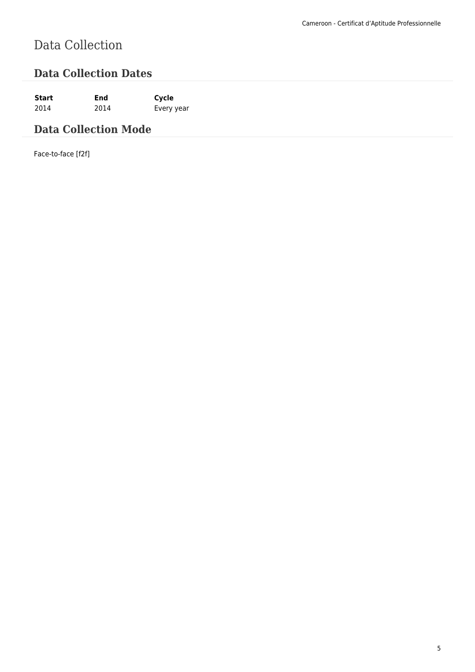# Data Collection

## **Data Collection Dates**

**Start End Cycle** 2014 2014 Every year

## **Data Collection Mode**

Face-to-face [f2f]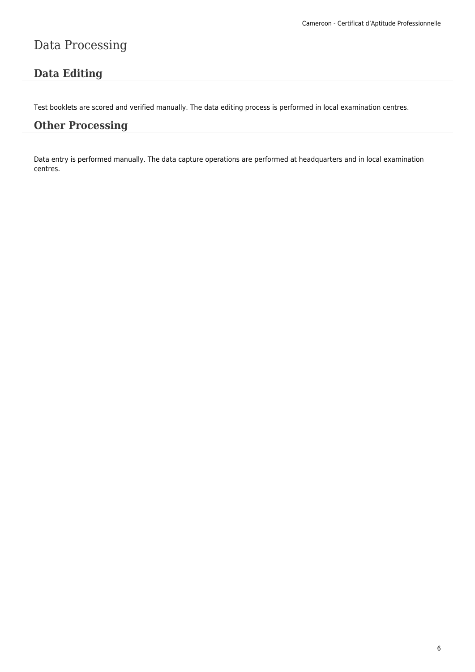## Data Processing

## **Data Editing**

Test booklets are scored and verified manually. The data editing process is performed in local examination centres.

#### **Other Processing**

Data entry is performed manually. The data capture operations are performed at headquarters and in local examination centres.